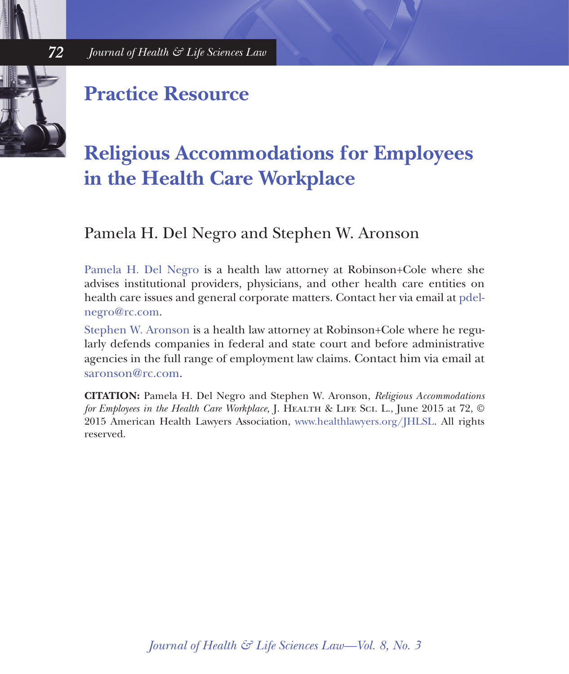

 *72 Journal of Health & Life Sciences Law*

### **Practice Resource**

## **Religious Accommodations for Employees in the Health Care Workplace**

#### Pamela H. Del Negro and Stephen W. Aronson

[Pamela H. Del Negro](http://www.rc.com/people/PamelaHDelNegro.cfm) is a health law attorney at Robinson+Cole where she advises institutional providers, physicians, and other health care entities on health care issues and general corporate matters. Contact her via email at [pdel](mailto:pdelnegro%40rc.com?subject=)[negro@rc.com.](mailto:pdelnegro%40rc.com?subject=)

[Stephen W. Aronson](http://www.rc.com/people/StephenWAronson.cfm) is a health law attorney at Robinson+Cole where he regularly defends companies in federal and state court and before administrative agencies in the full range of employment law claims. Contact him via email at [saronson@rc.com](mailto:saronson%40rc.com?subject=).

**CITATION:** Pamela H. Del Negro and Stephen W. Aronson, *Religious Accommodations for Employees in the Health Care Workplace, J. HEALTH & LIFE SCI. L., June 2015 at 72,* © 2015 American Health Lawyers Association, [www.healthlawyers.org/JHLSL.](http://www.healthlawyers.org/JHLSL) All rights reserved.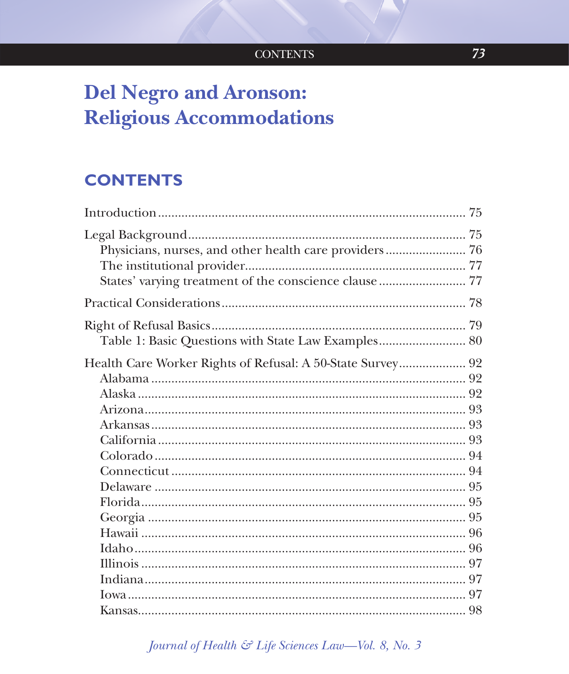# **Del Negro and Aronson: Religious Accommodations**

### **CONTENTS**

| Physicians, nurses, and other health care providers 76     |  |
|------------------------------------------------------------|--|
|                                                            |  |
| Table 1: Basic Questions with State Law Examples 80        |  |
| Health Care Worker Rights of Refusal: A 50-State Survey 92 |  |
|                                                            |  |
|                                                            |  |
|                                                            |  |
|                                                            |  |
|                                                            |  |
|                                                            |  |
|                                                            |  |
|                                                            |  |
|                                                            |  |
|                                                            |  |
|                                                            |  |
|                                                            |  |
|                                                            |  |
|                                                            |  |
|                                                            |  |
|                                                            |  |

Journal of Health & Life Sciences Law-Vol. 8, No. 3